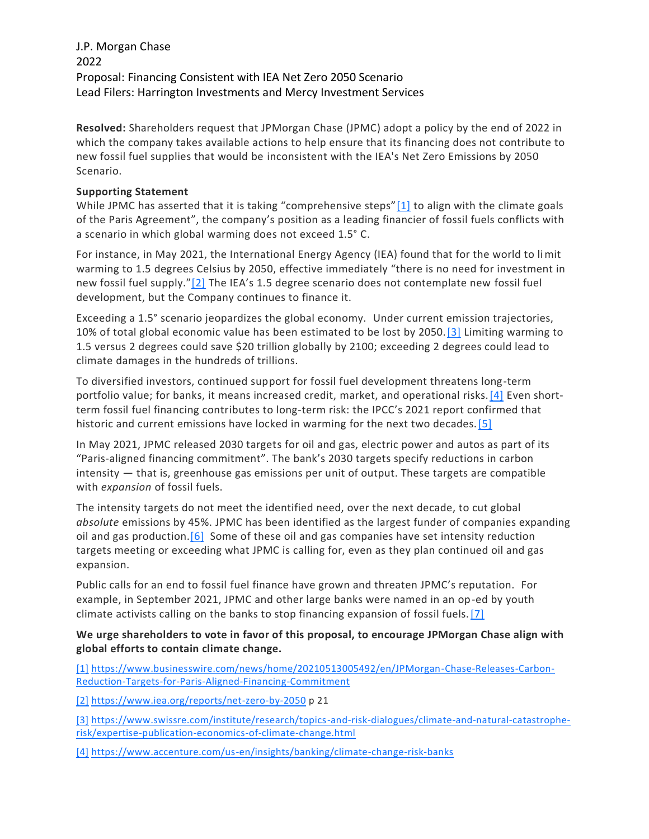## J.P. Morgan Chase 2022 Proposal: Financing Consistent with IEA Net Zero 2050 Scenario Lead Filers: Harrington Investments and Mercy Investment Services

**Resolved:** Shareholders request that JPMorgan Chase (JPMC) adopt a policy by the end of 2022 in which the company takes available actions to help ensure that its financing does not contribute to new fossil fuel supplies that would be inconsistent with the IEA's Net Zero Emissions by 2050 Scenario.

## **Supporting Statement**

While JPMC has asserted that it is taking "comprehensive steps"[\[1\]](https://exchange.iccr.org/resolution/127880#_ftn1) to align with the climate goals of the Paris Agreement", the company's position as a leading financier of fossil fuels conflicts with a scenario in which global warming does not exceed 1.5° C.

For instance, in May 2021, the International Energy Agency (IEA) found that for the world to limit warming to 1.5 degrees Celsius by 2050, effective immediately "there is no need for investment in new fossil fuel supply."[\[2\]](https://exchange.iccr.org/resolution/127880#_ftn2) The IEA's 1.5 degree scenario does not contemplate new fossil fuel development, but the Company continues to finance it.

Exceeding a 1.5° scenario jeopardizes the global economy. Under current emission trajectories, 10% of total global economic value has been estimated to be lost by 2050[.\[3\]](https://exchange.iccr.org/resolution/127880#_ftn3) Limiting warming to 1.5 versus 2 degrees could save \$20 trillion globally by 2100; exceeding 2 degrees could lead to climate damages in the hundreds of trillions.

To diversified investors, continued support for fossil fuel development threatens long-term portfolio value; for banks, it means increased credit, market, and operational risks. [4] Even shortterm fossil fuel financing contributes to long-term risk: the IPCC's 2021 report confirmed that historic and current emissions have locked in warming for the next two decades[.\[5\]](https://exchange.iccr.org/resolution/127880#_ftn5)

In May 2021, JPMC released 2030 targets for oil and gas, electric power and autos as part of its "Paris-aligned financing commitment". The bank's 2030 targets specify reductions in carbon intensity — that is, greenhouse gas emissions per unit of output. These targets are compatible with *expansion* of fossil fuels.

The intensity targets do not meet the identified need, over the next decade, to cut global *absolute* emissions by 45%. JPMC has been identified as the largest funder of companies expanding oil and gas production.  $[6]$  Some of these oil and gas companies have set intensity reduction targets meeting or exceeding what JPMC is calling for, even as they plan continued oil and gas expansion.

Public calls for an end to fossil fuel finance have grown and threaten JPMC's reputation. For example, in September 2021, JPMC and other large banks were named in an op-ed by youth climate activists calling on the banks to stop financing expansion of fossil fuels[.\[7\]](https://exchange.iccr.org/resolution/127880#_ftn7)

## **We urge shareholders to vote in favor of this proposal, to encourage JPMorgan Chase align with global efforts to contain climate change.**

[\[1\]](https://exchange.iccr.org/resolution/127880#_ftnref1) [https://www.businesswire.com/news/home/20210513005492/en/JPMorgan-Chase-Releases-Carbon-](https://www.businesswire.com/news/home/20210513005492/en/JPMorgan-Chase-Releases-Carbon-Reduction-Targets-for-Paris-Aligned-Financing-Commitment)[Reduction-Targets-for-Paris-Aligned-Financing-Commitment](https://www.businesswire.com/news/home/20210513005492/en/JPMorgan-Chase-Releases-Carbon-Reduction-Targets-for-Paris-Aligned-Financing-Commitment)

[\[2\]](https://exchange.iccr.org/resolution/127880#_ftnref2) <https://www.iea.org/reports/net-zero-by-2050> p 21

[\[3\]](https://exchange.iccr.org/resolution/127880#_ftnref3) [https://www.swissre.com/institute/research/topics-and-risk-dialogues/climate-and-natural-catastrophe](https://www.swissre.com/institute/research/topics-and-risk-dialogues/climate-and-natural-catastrophe-risk/expertise-publication-economics-of-climate-change.html)[risk/expertise-publication-economics-of-climate-change.html](https://www.swissre.com/institute/research/topics-and-risk-dialogues/climate-and-natural-catastrophe-risk/expertise-publication-economics-of-climate-change.html)

[\[4\]](https://exchange.iccr.org/resolution/127880#_ftnref4) <https://www.accenture.com/us-en/insights/banking/climate-change-risk-banks>